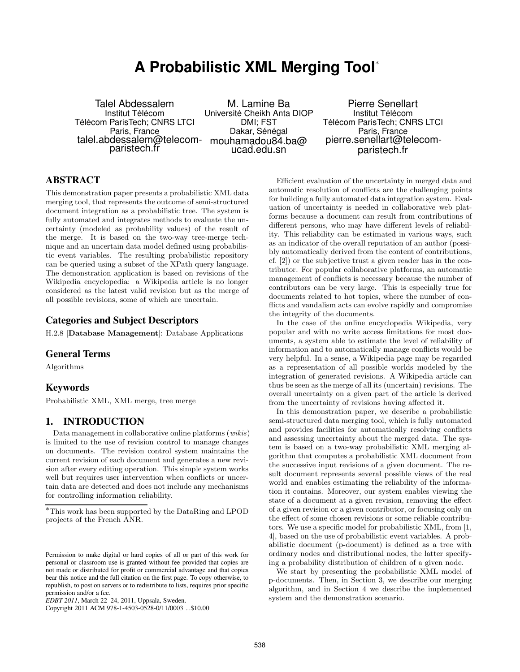# **A Probabilistic XML Merging Tool** ∗

Talel Abdessalem Institut Télécom Télécom ParisTech; CNRS LTCI Paris, France talel.abdessalem@telecom-mouhamadou84.ba@ paristech.fr

M. Lamine Ba Université Cheikh Anta DIOP DMI; FST Dakar, Sénégal ucad.edu.sn

Pierre Senellart Institut Télécom Télécom ParisTech; CNRS LTCI Paris, France pierre.senellart@telecomparistech.fr

# **ABSTRACT**

This demonstration paper presents a probabilistic XML data merging tool, that represents the outcome of semi-structured document integration as a probabilistic tree. The system is fully automated and integrates methods to evaluate the uncertainty (modeled as probability values) of the result of the merge. It is based on the two-way tree-merge technique and an uncertain data model defined using probabilistic event variables. The resulting probabilistic repository can be queried using a subset of the XPath query language. The demonstration application is based on revisions of the Wikipedia encyclopedia: a Wikipedia article is no longer considered as the latest valid revision but as the merge of all possible revisions, some of which are uncertain.

# **Categories and Subject Descriptors**

H.2.8 [Database Management]: Database Applications

#### **General Terms**

Algorithms

# **Keywords**

Probabilistic XML, XML merge, tree merge

#### **1. INTRODUCTION**

Data management in collaborative online platforms (wikis) is limited to the use of revision control to manage changes on documents. The revision control system maintains the current revision of each document and generates a new revision after every editing operation. This simple system works well but requires user intervention when conflicts or uncertain data are detected and does not include any mechanisms for controlling information reliability.

Efficient evaluation of the uncertainty in merged data and automatic resolution of conflicts are the challenging points for building a fully automated data integration system. Evaluation of uncertainty is needed in collaborative web platforms because a document can result from contributions of different persons, who may have different levels of reliability. This reliability can be estimated in various ways, such as an indicator of the overall reputation of an author (possibly automatically derived from the content of contributions, cf. [2]) or the subjective trust a given reader has in the contributor. For popular collaborative platforms, an automatic management of conflicts is necessary because the number of contributors can be very large. This is especially true for documents related to hot topics, where the number of conflicts and vandalism acts can evolve rapidly and compromise the integrity of the documents.

In the case of the online encyclopedia Wikipedia, very popular and with no write access limitations for most documents, a system able to estimate the level of reliability of information and to automatically manage conflicts would be very helpful. In a sense, a Wikipedia page may be regarded as a representation of all possible worlds modeled by the integration of generated revisions. A Wikipedia article can thus be seen as the merge of all its (uncertain) revisions. The overall uncertainty on a given part of the article is derived from the uncertainty of revisions having affected it.

In this demonstration paper, we describe a probabilistic semi-structured data merging tool, which is fully automated and provides facilities for automatically resolving conflicts and assessing uncertainty about the merged data. The system is based on a two-way probabilistic XML merging algorithm that computes a probabilistic XML document from the successive input revisions of a given document. The result document represents several possible views of the real world and enables estimating the reliability of the information it contains. Moreover, our system enables viewing the state of a document at a given revision, removing the effect of a given revision or a given contributor, or focusing only on the effect of some chosen revisions or some reliable contributors. We use a specific model for probabilistic XML, from [1, 4], based on the use of probabilistic event variables. A probabilistic document (p-document) is defined as a tree with ordinary nodes and distributional nodes, the latter specifying a probability distribution of children of a given node.

We start by presenting the probabilistic XML model of p-documents. Then, in Section 3, we describe our merging algorithm, and in Section 4 we describe the implemented system and the demonstration scenario.

<sup>∗</sup>This work has been supported by the DataRing and LPOD projects of the French ANR.

Permission to make digital or hard copies of all or part of this work for personal or classroom use is granted without fee provided that copies are not made or distributed for profit or commercial advantage and that copies bear this notice and the full citation on the first page. To copy otherwise, to republish, to post on servers or to redistribute to lists, requires prior specific permission and/or a fee.

*EDBT 2011*, March 22–24, 2011, Uppsala, Sweden.

Copyright 2011 ACM 978-1-4503-0528-0/11/0003 ...\$10.00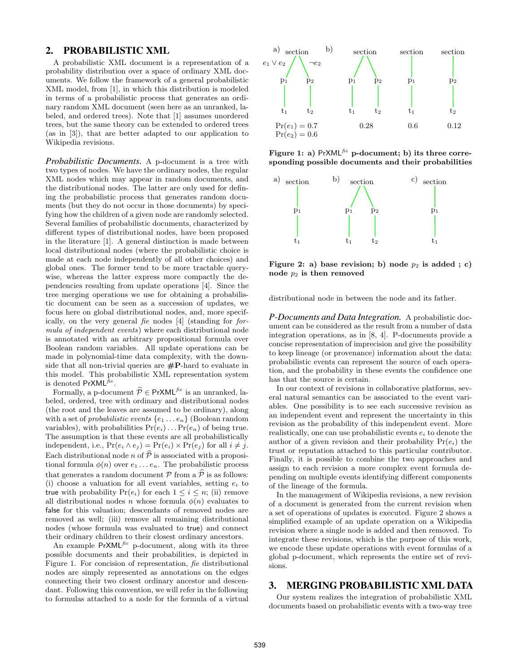#### **2. PROBABILISTIC XML**

A probabilistic XML document is a representation of a probability distribution over a space of ordinary XML documents. We follow the framework of a general probabilistic XML model, from [1], in which this distribution is modeled in terms of a probabilistic process that generates an ordinary random XML document (seen here as an unranked, labeled, and ordered trees). Note that [1] assumes unordered trees, but the same theory can be extended to ordered trees (as in [3]), that are better adapted to our application to Wikipedia revisions.

*Probabilistic Documents.* A p-document is a tree with two types of nodes. We have the ordinary nodes, the regular XML nodes which may appear in random documents, and the distributional nodes. The latter are only used for defining the probabilistic process that generates random documents (but they do not occur in those documents) by specifying how the children of a given node are randomly selected. Several families of probabilistic documents, characterized by different types of distributional nodes, have been proposed in the literature [1]. A general distinction is made between local distributional nodes (where the probabilistic choice is made at each node independently of all other choices) and global ones. The former tend to be more tractable querywise, whereas the latter express more compactly the dependencies resulting from update operations [4]. Since the tree merging operations we use for obtaining a probabilistic document can be seen as a succession of updates, we focus here on global distributional nodes, and, more specifically, on the very general fie nodes [4] (standing for formula of independent events) where each distributional node is annotated with an arbitrary propositional formula over Boolean random variables. All update operations can be made in polynomial-time data complexity, with the downside that all non-trivial queries are  $\#\mathbf{P}$ -hard to evaluate in this model. This probabilistic XML representation system is denoted  $PrXML^{\bar{f}\hat{e}}$ .

Formally, a p-document  $\hat{\mathcal{P}} \in \text{PrXML}^{fie}$  is an unranked, labeled, ordered, tree with ordinary and distributional nodes (the root and the leaves are assumed to be ordinary), along with a set of *probabilistic events*  $\{e_1 \ldots e_n\}$  (Boolean random variables), with probabilities  $Pr(e_i) \dots Pr(e_n)$  of being true. The assumption is that these events are all probabilistically independent, i.e.,  $Pr(e_i \wedge e_j) = Pr(e_i) \times Pr(e_j)$  for all  $i \neq j$ . Each distributional node n of  $\hat{\mathcal{P}}$  is associated with a propositional formula  $\phi(n)$  over  $e_1 \ldots e_n$ . The probabilistic process that generates a random document  $P$  from a  $\hat{P}$  is as follows: (i) choose a valuation for all event variables, setting  $e_i$  to true with probability  $Pr(e_i)$  for each  $1 \leq i \leq n$ ; (ii) remove all distributional nodes n whose formula  $\phi(n)$  evaluates to false for this valuation; descendants of removed nodes are removed as well; (iii) remove all remaining distributional nodes (whose formula was evaluated to true) and connect their ordinary children to their closest ordinary ancestors.

An example  $PrXML<sup>fe</sup>$  p-document, along with its three possible documents and their probabilities, is depicted in Figure 1. For concision of representation, fie distributional nodes are simply represented as annotations on the edges connecting their two closest ordinary ancestor and descendant. Following this convention, we will refer in the following to formulas attached to a node for the formula of a virtual



Figure 1: a) PrXML $^{fie}$  p-document; b) its three corresponding possible documents and their probabilities



Figure 2: a) base revision; b) node  $p_2$  is added ; c) node  $p_2$  is then removed

distributional node in between the node and its father.

*P-Documents and Data Integration.* A probabilistic document can be considered as the result from a number of data integration operations, as in [8, 4]. P-documents provide a concise representation of imprecision and give the possibility to keep lineage (or provenance) information about the data: probabilistic events can represent the source of each operation, and the probability in these events the confidence one has that the source is certain.

In our context of revisions in collaborative platforms, several natural semantics can be associated to the event variables. One possibility is to see each successive revision as an independent event and represent the uncertainty in this revision as the probability of this independent event. More realistically, one can use probabilistic events  $e_i$  to denote the author of a given revision and their probability  $Pr(e_i)$  the trust or reputation attached to this particular contributor. Finally, it is possible to combine the two approaches and assign to each revision a more complex event formula depending on multiple events identifying different components of the lineage of the formula.

In the management of Wikipedia revisions, a new revision of a document is generated from the current revision when a set of operations of updates is executed. Figure 2 shows a simplified example of an update operation on a Wikipedia revision where a single node is added and then removed. To integrate these revisions, which is the purpose of this work, we encode these update operations with event formulas of a global p-document, which represents the entire set of revisions.

# **3. MERGING PROBABILISTIC XML DATA**

Our system realizes the integration of probabilistic XML documents based on probabilistic events with a two-way tree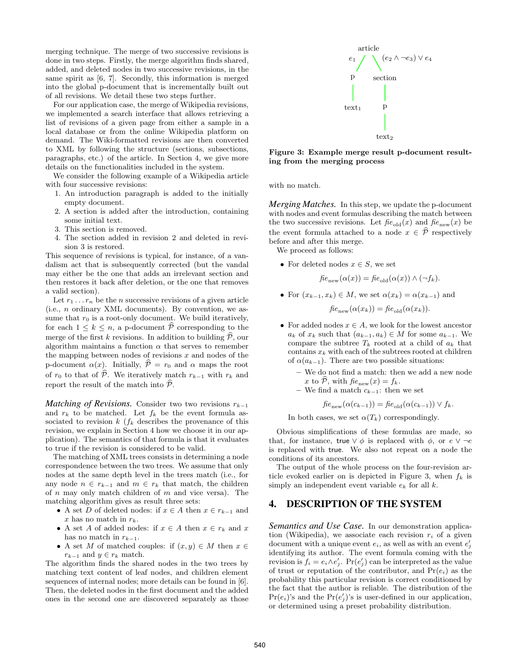merging technique. The merge of two successive revisions is done in two steps. Firstly, the merge algorithm finds shared, added, and deleted nodes in two successive revisions, in the same spirit as [6, 7]. Secondly, this information is merged into the global p-document that is incrementally built out of all revisions. We detail these two steps further.

For our application case, the merge of Wikipedia revisions, we implemented a search interface that allows retrieving a list of revisions of a given page from either a sample in a local database or from the online Wikipedia platform on demand. The Wiki-formatted revisions are then converted to XML by following the structure (sections, subsections, paragraphs, etc.) of the article. In Section 4, we give more details on the functionalities included in the system.

We consider the following example of a Wikipedia article with four successive revisions:

- 1. An introduction paragraph is added to the initially empty document.
- 2. A section is added after the introduction, containing some initial text.
- 3. This section is removed.
- 4. The section added in revision 2 and deleted in revision 3 is restored.

This sequence of revisions is typical, for instance, of a vandalism act that is subsequently corrected (but the vandal may either be the one that adds an irrelevant section and then restores it back after deletion, or the one that removes a valid section).

Let  $r_1 \ldots r_n$  be the *n* successive revisions of a given article (i.e., n ordinary XML documents). By convention, we assume that  $r_0$  is a root-only document. We build iteratively, for each  $1 \leq k \leq n$ , a p-document  $\widehat{P}$  corresponding to the merge of the first k revisions. In addition to building  $\hat{\mathcal{P}}$ , our algorithm maintains a function  $\alpha$  that serves to remember the mapping between nodes of revisions  $x$  and nodes of the p-document  $\alpha(x)$ . Initially,  $\hat{\mathcal{P}} = r_0$  and  $\alpha$  maps the root of  $r_0$  to that of  $\widehat{\mathcal{P}}$ . We iteratively match  $r_{k-1}$  with  $r_k$  and report the result of the match into  $\mathcal{P}$ .

*Matching of Revisions.* Consider two two revisions  $r_{k-1}$ and  $r_k$  to be matched. Let  $f_k$  be the event formula associated to revision  $k \left( f_k \right)$  describes the provenance of this revision, we explain in Section 4 how we choose it in our application). The semantics of that formula is that it evaluates to true if the revision is considered to be valid.

The matching of XML trees consists in determining a node correspondence between the two trees. We assume that only nodes at the same depth level in the trees match (i.e., for any node  $n \in r_{k-1}$  and  $m \in r_k$  that match, the children of  $n$  may only match children of  $m$  and vice versa). The matching algorithm gives as result three sets:

- A set D of deleted nodes: if  $x \in A$  then  $x \in r_{k-1}$  and x has no match in  $r_k$ .
- A set A of added nodes: if  $x \in A$  then  $x \in r_k$  and x has no match in  $r_{k-1}$ .
- A set M of matched couples: if  $(x, y) \in M$  then  $x \in$  $r_{k-1}$  and  $y \in r_k$  match.

The algorithm finds the shared nodes in the two trees by matching text content of leaf nodes, and children element sequences of internal nodes; more details can be found in [6]. Then, the deleted nodes in the first document and the added ones in the second one are discovered separately as those



Figure 3: Example merge result p-document resulting from the merging process

with no match.

*Merging Matches.* In this step, we update the p-document with nodes and event formulas describing the match between the two successive revisions. Let  $f_{\text{f}e_{old}}(x)$  and  $f_{\text{f}e_{new}}(x)$  be the event formula attached to a node  $x \in \hat{\mathcal{P}}$  respectively before and after this merge.

We proceed as follows:

• For deleted nodes  $x \in S$ , we set

$$
f_i e_{\text{new}}(\alpha(x)) = f_i e_{\text{old}}(\alpha(x)) \wedge (\neg f_k).
$$

• For  $(x_{k-1}, x_k) \in M$ , we set  $\alpha(x_k) = \alpha(x_{k-1})$  and

$$
f_i e_{\text{new}}(\alpha(x_k)) = f_i e_{\text{old}}(\alpha(x_k)).
$$

- For added nodes  $x \in A$ , we look for the lowest ancestor  $a_k$  of  $x_k$  such that  $(a_{k-1}, a_k) \in M$  for some  $a_{k-1}$ . We compare the subtree  $T_k$  rooted at a child of  $a_k$  that contains  $x_k$  with each of the subtrees rooted at children of  $\alpha(a_{k-1})$ . There are two possible situations:
	- We do not find a match: then we add a new node x to  $\overline{\mathcal{P}}$ , with  $\text{fie}_{\text{new}}(x) = f_k$ .
	- We find a match  $c_{k-1}$ : then we set

$$
f_i e_{\text{new}}(\alpha(c_{k-1})) = f_i e_{\text{old}}(\alpha(c_{k-1})) \vee f_k.
$$

In both cases, we set  $\alpha(T_k)$  correspondingly.

Obvious simplifications of these formulas are made, so that, for instance, true  $\vee \phi$  is replaced with  $\phi$ , or  $e \vee \neg e$ is replaced with true. We also not repeat on a node the conditions of its ancestors.

The output of the whole process on the four-revision article evoked earlier on is depicted in Figure 3, when  $f_k$  is simply an independent event variable  $e_k$  for all  $k$ .

# **4. DESCRIPTION OF THE SYSTEM**

*Semantics and Use Case.* In our demonstration application (Wikipedia), we associate each revision  $r_i$  of a given document with a unique event  $e_i$ , as well as with an event  $e'_j$ identifying its author. The event formula coming with the revision is  $f_i = e_i \wedge e'_j$ .  $Pr(e'_j)$  can be interpreted as the value of trust or reputation of the contributor, and  $Pr(e_i)$  as the probability this particular revision is correct conditioned by the fact that the author is reliable. The distribution of the  $Pr(e_i)$ 's and the  $Pr(e'_j)$ 's is user-defined in our application, or determined using a preset probability distribution.